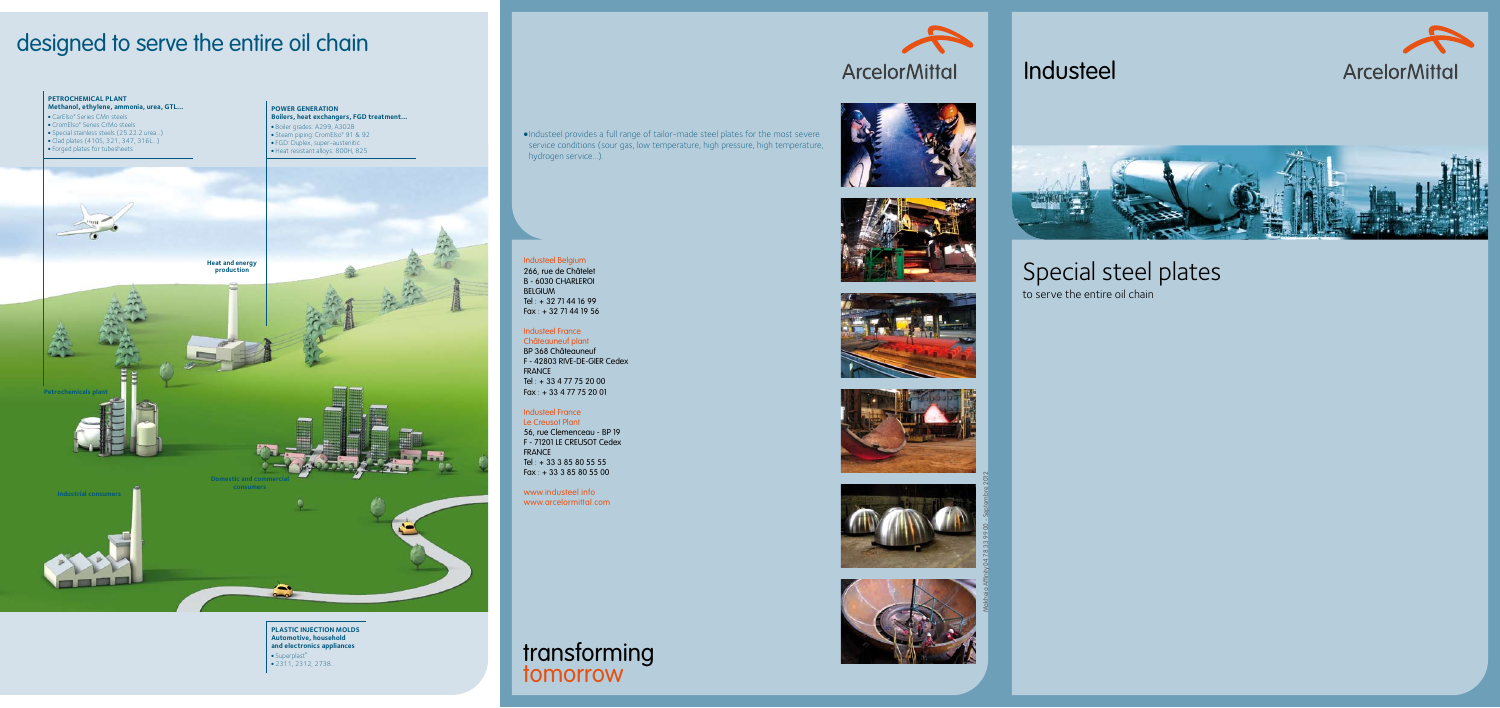- <sup>l</sup> Boiler grades: A299, A302B
- Steam piping: CromElso® 91 & 92
- FGD: Duplex, super-austenitic • Heat resistant alloys: 800H, 825

#### **POWER GENERATION Boilers, heat exchangers, FGD treatment…**

## designed to serve the entire oil chain



- CromElso® Series CrMo steels
- <sup>l</sup> Special stainless steels (25.22.2 urea…)
- <sup>l</sup> Clad plates (410S, 321, 347, 316L…)
- Forged plates for tubesheets



**PLASTIC INJECTION MOLDS Automotive, household and electronics appliances** • Superplast® <sup>l</sup> 2311, 2312, 2738...

<sup>l</sup> Industeel provides a full range of tailor-made steel plates for the most severe service conditions (sour gas, low temperature, high pressure, high temperature, hydrogen service...).

# Special steel plates

to serve the entire oil chain

Industeel





### transforming tomorrow













#### Industeel Belgium 266, rue de Châtelet B - 6030 CHARLEROI BELGIUM Tel : + 32 71 44 16 99 Fax : + 32 71 44 19 56

#### Industeel France

Châteauneuf plant BP 368 Châteauneuf F - 42803 RIVE-DE-GIER Cedex FRANCE Tel : + 33 4 77 75 20 00 Fax : + 33 4 77 75 20 01

### Industeel France

Le Creusot Plant 56, rue Clemenceau - BP 19 F - 71201 LE CREUSOT Cedex FRANCE Tel : + 33 3 85 80 55 55 Fax : + 33 3 85 80 55 00

www.industeel.info www.arcelormittal.com Makheia Affinity 04 78 33 99 00 - Septembre 2012